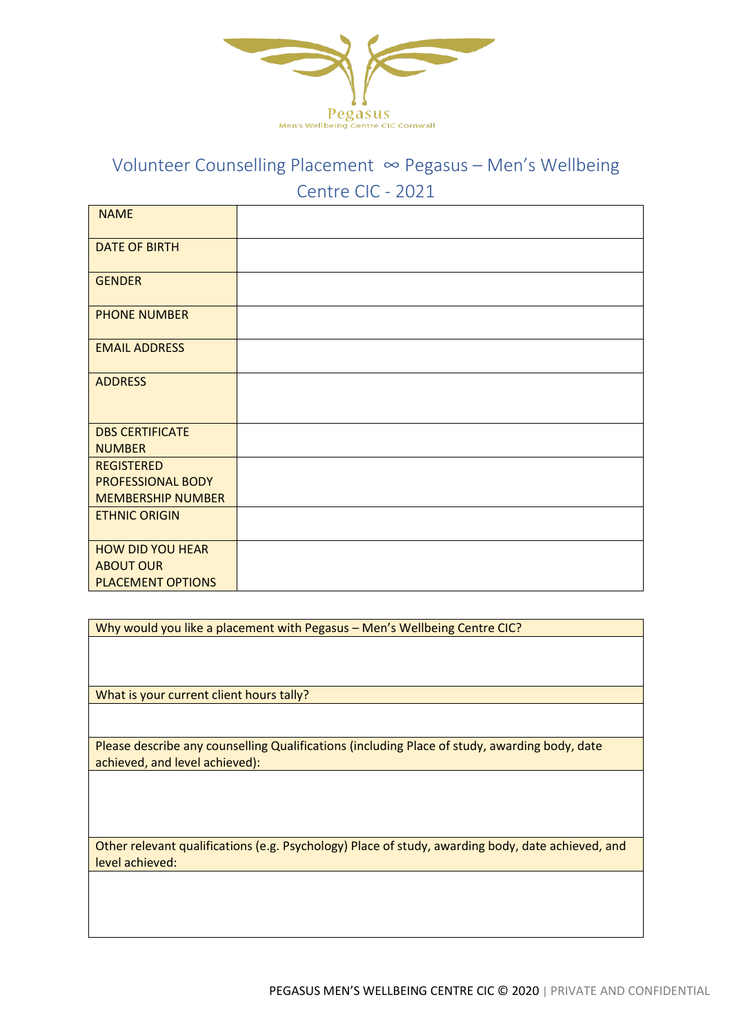

## Volunteer Counselling Placement ∞ Pegasus – Men's Wellbeing Centre CIC - 2021

| <b>NAME</b>                             |  |
|-----------------------------------------|--|
| <b>DATE OF BIRTH</b>                    |  |
| <b>GENDER</b>                           |  |
| <b>PHONE NUMBER</b>                     |  |
| <b>EMAIL ADDRESS</b>                    |  |
| <b>ADDRESS</b>                          |  |
| <b>DBS CERTIFICATE</b><br><b>NUMBER</b> |  |
| <b>REGISTERED</b>                       |  |
| PROFESSIONAL BODY                       |  |
| <b>MEMBERSHIP NUMBER</b>                |  |
| <b>ETHNIC ORIGIN</b>                    |  |
| <b>HOW DID YOU HEAR</b>                 |  |
| <b>ABOUT OUR</b>                        |  |
| <b>PLACEMENT OPTIONS</b>                |  |

Why would you like a placement with Pegasus – Men's Wellbeing Centre CIC?

What is your current client hours tally?

Please describe any counselling Qualifications (including Place of study, awarding body, date achieved, and level achieved):

Other relevant qualifications (e.g. Psychology) Place of study, awarding body, date achieved, and level achieved: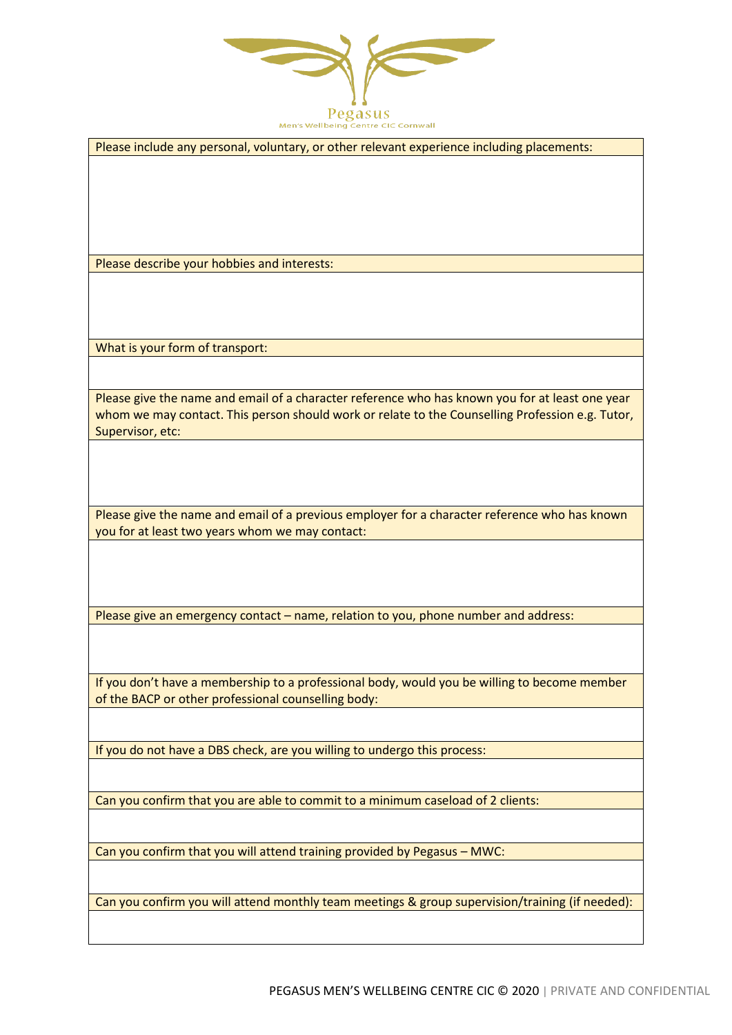

Please include any personal, voluntary, or other relevant experience including placements:

Please describe your hobbies and interests:

What is your form of transport:

Please give the name and email of a character reference who has known you for at least one year whom we may contact. This person should work or relate to the Counselling Profession e.g. Tutor, Supervisor, etc:

Please give the name and email of a previous employer for a character reference who has known you for at least two years whom we may contact:

Please give an emergency contact – name, relation to you, phone number and address:

If you don't have a membership to a professional body, would you be willing to become member of the BACP or other professional counselling body:

If you do not have a DBS check, are you willing to undergo this process:

Can you confirm that you are able to commit to a minimum caseload of 2 clients:

Can you confirm that you will attend training provided by Pegasus – MWC:

Can you confirm you will attend monthly team meetings & group supervision/training (if needed):